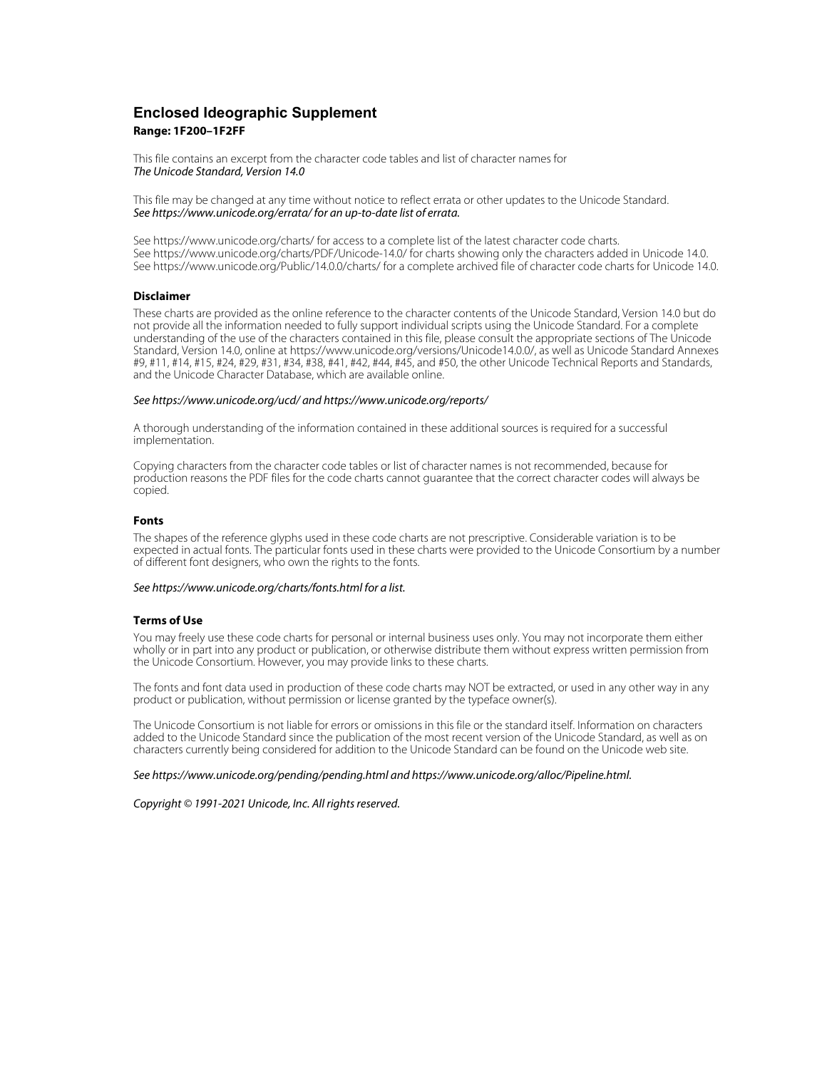## **Enclosed Ideographic Supplement Range: 1F200–1F2FF**

This file contains an excerpt from the character code tables and list of character names for The Unicode Standard, Version 14.0

This file may be changed at any time without notice to reflect errata or other updates to the Unicode Standard. See https://www.unicode.org/errata/ for an up-to-date list of errata.

See https://www.unicode.org/charts/ for access to a complete list of the latest character code charts. See https://www.unicode.org/charts/PDF/Unicode-14.0/ for charts showing only the characters added in Unicode 14.0. See https://www.unicode.org/Public/14.0.0/charts/ for a complete archived file of character code charts for Unicode 14.0.

### **Disclaimer**

These charts are provided as the online reference to the character contents of the Unicode Standard, Version 14.0 but do not provide all the information needed to fully support individual scripts using the Unicode Standard. For a complete understanding of the use of the characters contained in this file, please consult the appropriate sections of The Unicode Standard, Version 14.0, online at https://www.unicode.org/versions/Unicode14.0.0/, as well as Unicode Standard Annexes #9, #11, #14, #15, #24, #29, #31, #34, #38, #41, #42, #44, #45, and #50, the other Unicode Technical Reports and Standards, and the Unicode Character Database, which are available online.

#### See https://www.unicode.org/ucd/ and https://www.unicode.org/reports/

A thorough understanding of the information contained in these additional sources is required for a successful implementation.

Copying characters from the character code tables or list of character names is not recommended, because for production reasons the PDF files for the code charts cannot guarantee that the correct character codes will always be copied.

#### **Fonts**

The shapes of the reference glyphs used in these code charts are not prescriptive. Considerable variation is to be expected in actual fonts. The particular fonts used in these charts were provided to the Unicode Consortium by a number of different font designers, who own the rights to the fonts.

### See https://www.unicode.org/charts/fonts.html for a list.

#### **Terms of Use**

You may freely use these code charts for personal or internal business uses only. You may not incorporate them either wholly or in part into any product or publication, or otherwise distribute them without express written permission from the Unicode Consortium. However, you may provide links to these charts.

The fonts and font data used in production of these code charts may NOT be extracted, or used in any other way in any product or publication, without permission or license granted by the typeface owner(s).

The Unicode Consortium is not liable for errors or omissions in this file or the standard itself. Information on characters added to the Unicode Standard since the publication of the most recent version of the Unicode Standard, as well as on characters currently being considered for addition to the Unicode Standard can be found on the Unicode web site.

#### See https://www.unicode.org/pending/pending.html and https://www.unicode.org/alloc/Pipeline.html.

Copyright © 1991-2021 Unicode, Inc. All rights reserved.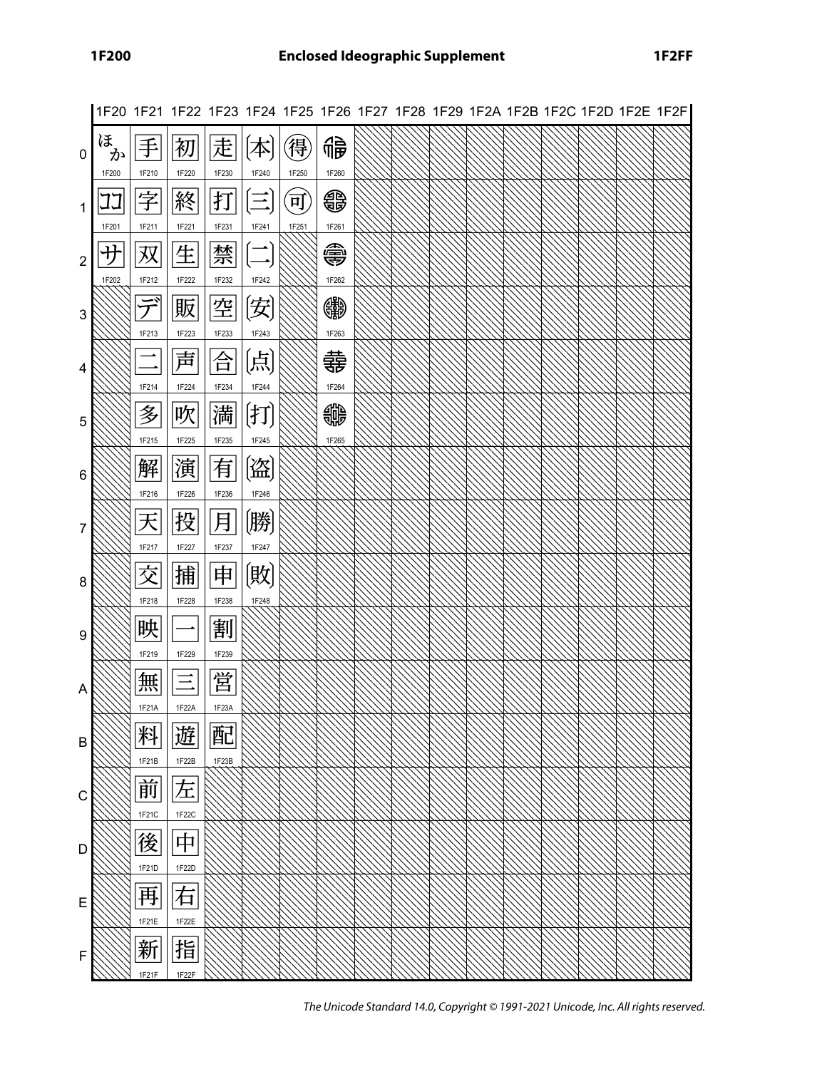|                |                 |            | 1F20 1F21 1F22 1F23 1F24 1F25 1F26 1F27 1F28 1F29 1F2A 1F2B 1F2C 1F2D 1F2E 1F2F |            |                                   |                   |            |  |  |  |  |  |
|----------------|-----------------|------------|---------------------------------------------------------------------------------|------------|-----------------------------------|-------------------|------------|--|--|--|--|--|
| 0              | ほ<br>か<br>1F200 | 1F210      | 初<br>1F220                                                                      | 走<br>1F230 | 1F240                             | 得<br>1F250        | 鴝<br>1F260 |  |  |  |  |  |
|                | 1F201           | 1F211      | 終<br>1F221                                                                      | 打<br>1F231 | 1F241                             | <u>म</u><br>1F251 | €<br>1F261 |  |  |  |  |  |
| $\overline{2}$ | ガ<br>1F202      | 双<br>1F212 | 生<br>1F222                                                                      | 禁<br>1F232 | 1F242                             |                   | ⊜<br>1F262 |  |  |  |  |  |
| 3              |                 | 1F213      | 販<br>1F223                                                                      | 空<br>1F233 | 闵<br>1F243                        |                   | 皭<br>1F263 |  |  |  |  |  |
| 4              |                 | 1F214      | 声<br>1F224                                                                      | 合<br>1F234 | 〔点〕<br>1F244                      |                   | 寺<br>1F264 |  |  |  |  |  |
| 5              |                 | 多<br>1F215 | 吹<br>1F225                                                                      | 満<br>1F235 | $[\ddagger \vec{\bf 1}]$<br>1F245 |                   | ₩<br>1F265 |  |  |  |  |  |
| 6              |                 | 解<br>1F216 | 演<br>1F226                                                                      | 有<br>1F236 | (盗)<br>1F246                      |                   |            |  |  |  |  |  |
| 7              |                 | 天<br>1F217 | 投<br>1F227                                                                      | 月<br>1F237 | (勝)<br>1F247                      |                   |            |  |  |  |  |  |
| 8              |                 | 交<br>1F218 | 捕<br>1F228                                                                      | 申<br>1F238 | (敗<br>1F248                       |                   |            |  |  |  |  |  |
| 9              |                 | 映<br>1F219 | 1F229                                                                           | 割<br>1F239 |                                   |                   |            |  |  |  |  |  |
| A              |                 | 無<br>1F21A | 1F22/                                                                           | 営<br>1F23A |                                   |                   |            |  |  |  |  |  |
| B              |                 | 料<br>1F21B | 遊<br>1F22B                                                                      | 配<br>1F23B |                                   |                   |            |  |  |  |  |  |
| C              |                 | 前<br>1F21C | 左<br>1F22C                                                                      |            |                                   |                   |            |  |  |  |  |  |
| D              |                 | 後<br>1F21D | 中<br>1F22D                                                                      |            |                                   |                   |            |  |  |  |  |  |
| Е              |                 | 再<br>1F21E | 右<br>1F22E                                                                      |            |                                   |                   |            |  |  |  |  |  |
| F              |                 | 新<br>1F21F | 指<br>1F22F                                                                      |            |                                   |                   |            |  |  |  |  |  |

The Unicode Standard 14.0, Copyright © 1991-2021 Unicode, Inc. All rights reserved.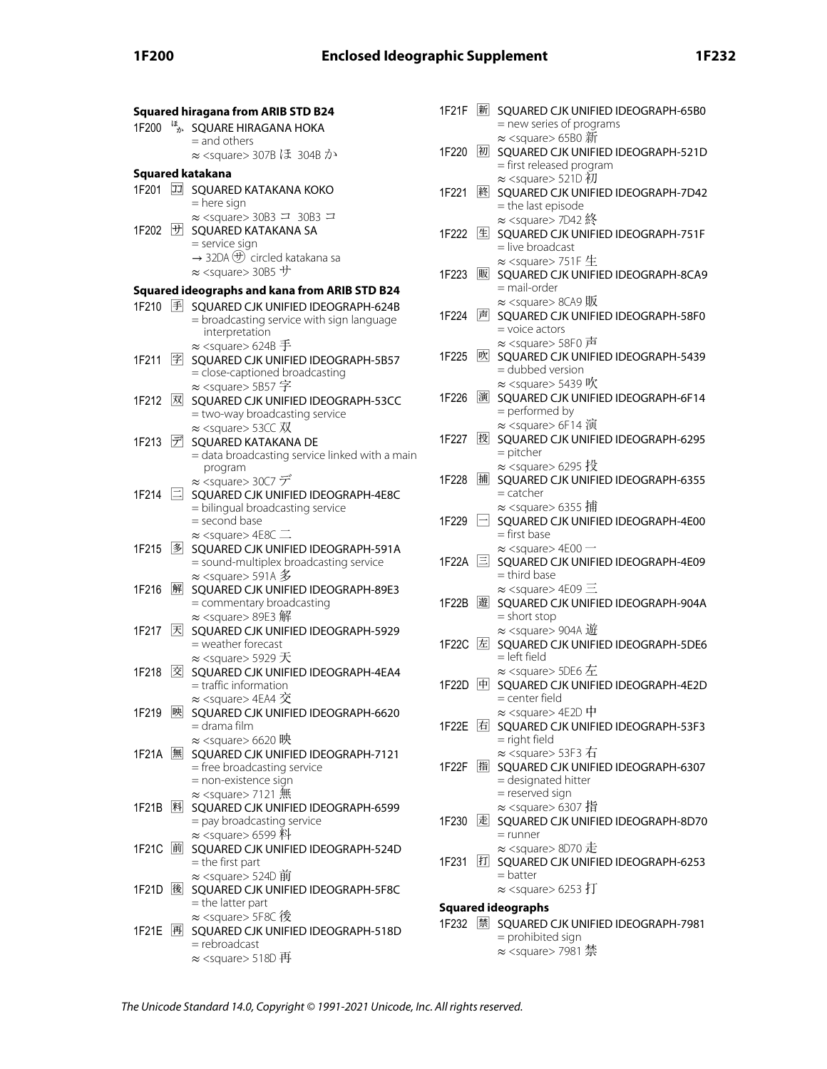|                |                        | <b>Squared hiragana from ARIB STD B24</b>                                                                                                                         |
|----------------|------------------------|-------------------------------------------------------------------------------------------------------------------------------------------------------------------|
| 1F200          | ほか                     | SQUARE HIRAGANA HOKA<br>= and others<br>≈ <square> 307B ほ 304B か</square>                                                                                         |
|                |                        |                                                                                                                                                                   |
|                |                        | Squared katakana                                                                                                                                                  |
| 1F201          | $\boxed{\mathbb{Z}^2}$ | SQUARED KATAKANA KOKO<br>= here sign                                                                                                                              |
| 1F202          | サ                      | $\approx$ <square> 30B3 <math>\equiv</math> 30B3 <math>\equiv</math><br/>SQUARED KATAKANA SA<br/>= service sign</square>                                          |
|                |                        | $\rightarrow$ 32DA $\bigoplus$ circled katakana sa<br>$\approx$ <square> 30B5 サ</square>                                                                          |
|                |                        | Squared ideographs and kana from ARIB STD B24                                                                                                                     |
| 1F210 手        |                        | SQUARED CJK UNIFIED IDEOGRAPH-624B<br>= broadcasting service with sign language<br>interpretation                                                                 |
| 1F211          | 字                      | $\approx$ <square> 624B <math>\pm</math><br/>SQUARED CJK UNIFIED IDEOGRAPH-5B57<br/>= close-captioned broadcasting<br/>≈ <square> 5B57 字</square></square>        |
| 1F212          | 网                      | SQUARED CJK UNIFIED IDEOGRAPH-53CC<br>= two-way broadcasting service                                                                                              |
| 1F213          | デ                      | $\approx$ <square> 53CC <math>\overline{\text{W}}</math><br/>SQUARED KATAKANA DE<br/>= data broadcasting service linked with a main<br/>program</square>          |
| 1F214          | 曰                      | ≈ <square> 30C7 デ<br/>SQUARED CJK UNIFIED IDEOGRAPH-4E8C<br/>= bilingual broadcasting service<br/>= second base</square>                                          |
| 1F215          | 多                      | $\approx$ <square> 4E8C <math>\equiv</math><br/>SQUARED CJK UNIFIED IDEOGRAPH-591A<br/>= sound-multiplex broadcasting service</square>                            |
| 1F216          | 解                      | $\approx$ <square> 591A 多<br/>SQUARED CJK UNIFIED IDEOGRAPH-89E3<br/>= commentary broadcasting</square>                                                           |
| 1F217          | 闲                      | $\approx$ <square> 89E3 解<br/>SQUARED CJK UNIFIED IDEOGRAPH-5929<br/>= weather forecast<br/><math>\approx</math> <square> 5929 <math>\pm</math></square></square> |
| 1F218 <b>図</b> |                        | SQUARED CJK UNIFIED IDEOGRAPH-4EA4<br>= traffic information                                                                                                       |
| 1F219          | 映                      | $\approx$ <square> 4EA4 <math>\bar{\mathcal{R}}</math><br/>SQUARED CJK UNIFIED IDEOGRAPH-6620<br/>= drama film</square>                                           |
| 1F21A  無       |                        | $\approx$ <square> 6620 映<br/>SQUARED CJK UNIFIED IDEOGRAPH-7121<br/>= free broadcasting service<br/>= non-existence sign</square>                                |
| 1F21B          | 料                      | $\approx$ <square> 7121 無<br/>SQUARED CJK UNIFIED IDEOGRAPH-6599<br/>= pay broadcasting service<br/><math>\approx</math> <square> 6599 料</square></square>        |
| 1F21C  前       |                        | SQUARED CJK UNIFIED IDEOGRAPH-524D<br>$=$ the first part<br>$\approx$ <square> 524D 前</square>                                                                    |
| 1F21D          | 後                      | SQUARED CJK UNIFIED IDEOGRAPH-5F8C<br>= the latter part<br>≈ <square> 5F8C 後</square>                                                                             |
| 1F21E  再       |                        | SQUARED CJK UNIFIED IDEOGRAPH-518D<br>= rebroadcast<br>$\approx$ <square> 518D 再</square>                                                                         |
|                |                        |                                                                                                                                                                   |

|     |                   |   | 1F21F   新 SQUARED CJK UNIFIED IDEOGRAPH-65B0<br>= new series of programs                                                  |
|-----|-------------------|---|---------------------------------------------------------------------------------------------------------------------------|
|     | 1F220 初           |   | $\approx$ <square> 65B0 新<br/>SQUARED CJK UNIFIED IDEOGRAPH-521D<br/>= first released program</square>                    |
|     | 1F221             | 終 | ≈ <square> 521D 初<br/>SQUARED CJK UNIFIED IDEOGRAPH-7D42<br/>= the last episode</square>                                  |
|     | 1F222 生           |   | ≈ <square> 7D42 終<br/>SQUARED CJK UNIFIED IDEOGRAPH-751F<br/>= live broadcast</square>                                    |
|     | 1F223             | 販 | $\approx$ <square> 751F <math>\pm</math><br/>SQUARED CJK UNIFIED IDEOGRAPH-8CA9<br/>= mail-order</square>                 |
|     | 1F224             | 声 | ≈ <square> 8CA9 販<br/>SQUARED CJK UNIFIED IDEOGRAPH-58F0<br/><math>=</math> voice actors</square>                         |
|     | 1F <sub>275</sub> | 吹 | ≈ <square> 58F0 声<br/>SQUARED CJK UNIFIED IDEOGRAPH-5439<br/>= dubbed version</square>                                    |
|     | 1F226             | 演 | $\approx$ <square> 5439 吹<br/>SQUARED CJK UNIFIED IDEOGRAPH-6F14<br/>= performed by</square>                              |
| ain | 1F227 段           |   | ≈ <square> 6F14 演<br/>SQUARED CJK UNIFIED IDEOGRAPH-6295<br/><math>=</math> pitcher</square>                              |
|     | 1F228             | 捕 | $\approx$ <square> 6295 投<br/>SQUARED CJK UNIFIED IDEOGRAPH-6355<br/><math>=</math> catcher</square>                      |
|     | 1F229 -           |   | $\approx$ <square> 6355 捕<br/>SQUARED CJK UNIFIED IDEOGRAPH-4E00<br/>= first base</square>                                |
|     | 1F22A E           |   | $\approx$ <square> 4E00 <math>-</math><br/>SQUARED CJK UNIFIED IDEOGRAPH-4E09<br/>= third base</square>                   |
|     | 1F22B  遊          |   | $\approx$ <square> 4E09 <math>\equiv</math><br/>SQUARED CJK UNIFIED IDEOGRAPH-904A<br/><math>=</math> short stop</square> |
|     | 1F22C __ 左        |   | $\approx$ <square> 904A 遊<br/>SQUARED CJK UNIFIED IDEOGRAPH-5DE6<br/>= left field</square>                                |
|     | 1F22D 电           |   | $\approx$ <square> 5DE6<math>\pm</math><br/>SQUARED CJK UNIFIED IDEOGRAPH-4E2D<br/>= center field</square>                |
|     |                   |   | ≈ <square> 4E2D 中<br/>= right field</square>                                                                              |
|     |                   |   | $\approx$ <square> 53F3 右<br/>1F22F 图 SQUARED CJK UNIFIED IDEOGRAPH-6307<br/>= designated hitter</square>                 |
|     |                   |   | = reserved sign<br>≈ <square> 6307 指<br/>1F230 起 SQUARED CJK UNIFIED IDEOGRAPH-8D70<br/><math>=</math> runner</square>    |
|     | 1F231             |   | $\approx$ <square> 8D70 走<br/><b>打 SQUARED CJK UNIFIED IDEOGRAPH-6253</b><br/><math>=</math> batter</square>              |
|     |                   |   | $\approx$ <square> 6253 打</square>                                                                                        |
|     |                   |   | <b>Squared ideographs</b>                                                                                                 |
|     |                   |   | 1F232 图 SQUARED CJK UNIFIED IDEOGRAPH-7981<br>= prohibited sign                                                           |
|     |                   |   |                                                                                                                           |

≈ <square> 7981 禁